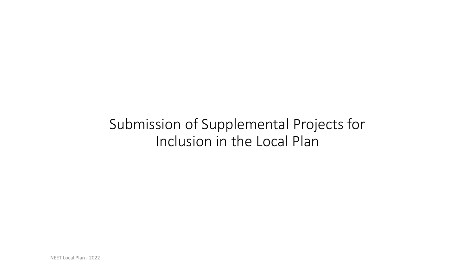# Submission of Supplemental Projects for Inclusion in the Local Plan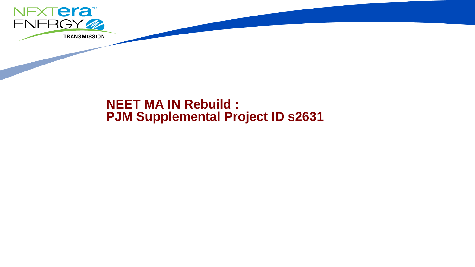

# **NEET MA IN Rebuild : PJM Supplemental Project ID s2631**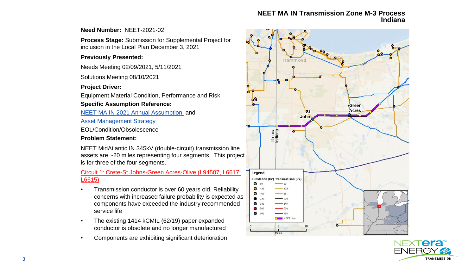## **NEET MA IN Transmission Zone M-3 Process Indiana**

# **Need Number:** NEET-2021-02

**Process Stage:** Submission for Supplemental Project for inclusion in the Local Plan December 3, 2021

# **Previously Presented:**

Needs Meeting 02/09/2021, 5/11/2021

Solutions Meeting 08/10/2021

# **Project Driver:**

Equipment Material Condition, Performance and Risk

# **Specific Assumption Reference:**

[NEET MA IN 2021 Annual Assumption](https://www.pjm.com/-/media/committees-groups/committees/srrtep-w/2020/20201218/20201218-neet-assumptions-meeting-slides-2021.ashx) and

[Asset Management Strategy](https://www.pjm.com/-/media/committees-groups/committees/srrtep-w/2021/20210115/20210115-neet-asset-management-strategy.ashx)

EOL/Condition/Obsolescence

# **Problem Statement:**

NEET MidAtlantic IN 345kV (double-circuit) transmission line assets are ~20 miles representing four segments. This project is for three of the four segments.

# Circuit 1: Crete-St.Johns-Green Acres-Olive (L94507, L6617, L6615)

- Transmission conductor is over 60 years old. Reliability concerns with increased failure probability is expected as components have exceeded the industry recommended service life
- The existing 1414 kCMIL (62/19) paper expanded conductor is obsolete and no longer manufactured
- Components are exhibiting significant deterioration



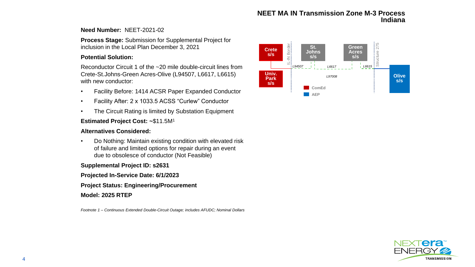#### **NEET MA IN Transmission Zone M-3 Process Indiana**

#### **Need Number:** NEET-2021-02

**Process Stage:** Submission for Supplemental Project for inclusion in the Local Plan December 3, 2021

#### **Potential Solution:**

Reconductor Circuit 1 of the ~20 mile double-circuit lines from Crete-St.Johns-Green Acres-Olive (L94507, L6617, L6615) with new conductor:

- Facility Before: 1414 ACSR Paper Expanded Conductor
- Facility After: 2 x 1033.5 ACSS "Curlew" Conductor
- The Circuit Rating is limited by Substation Equipment

## **Estimated Project Cost: ~**\$11.5M<sup>1</sup>

### **Alternatives Considered:**

• Do Nothing: Maintain existing condition with elevated risk of failure and limited options for repair during an event due to obsolesce of conductor (Not Feasible)

### **Supplemental Project ID: s2631**

#### **Projected In-Service Date: 6/1/2023**

#### **Project Status: Engineering/Procurement**

#### **Model: 2025 RTEP**

*Footnote 1 – Continuous Extended Double-Circuit Outage; includes AFUDC; Nominal Dollars*